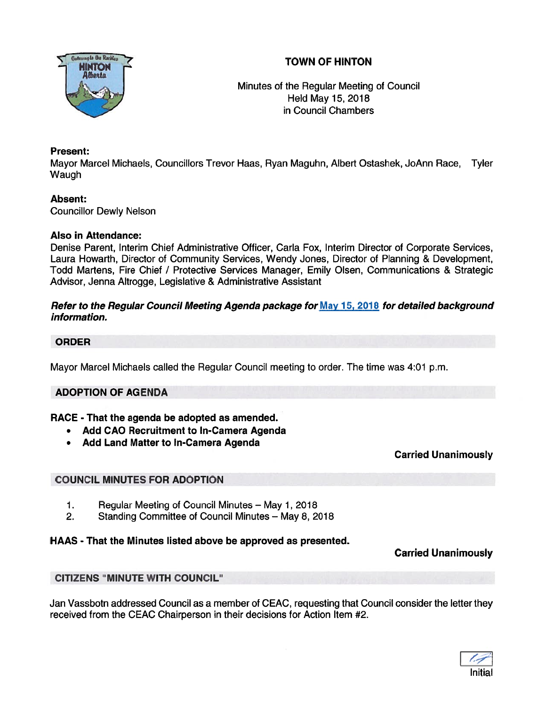



Minutes of the Regular Meeting of Council Held May 15, 2018 in Council Chambers

# Present:

Mayor Marcel Michaels, Councillors Trevor Haas, Ryan Maguhn, Albert Ostashek, JoAnn Race, Tyler **Waugh** 

# Absent:

Councillor Dewly Nelson

# Also in Attendance:

Denise Parent, Interim Chief Administrative Officer, Carla Fox, Interim Director of Corporate Services, Laura Howarth, Director of Community Services, Wendy Jones, Director of Planning & Development, Todd Martens, Fire Chief / Protective Services Manager, Emily Olsen, Communications & Strategic Advisor, Jenna Altrogge, Legislative & Administrative Assistant

### Refer to the Regular Council Meeting Agenda package for May 15, 2018 for detailed background information.

### ORDER

Mayor Marcel Michaels called the Regular Council meeting to order. The time was 4:01 p.m.

# ADOPTION OF AGENDA

# RACE - That the agenda be adopted as amended.

- Add CAO Recruitment to In-Camera Agenda
- Add Land Matter to In-Camera Agenda

Carried Unanimously

# COUNCIL MINUTES FOR ADOPTION

- 1. Regular Meeting of Council Minutes May 1, 2018
- 2. Standing Committee of Council Minutes May 8, 2018

# HAAS - That the Minutes listed above be approved as presented.

# Carried Unanimously

# CITIZENS "MINUTE WITH COUNCIL"

Jan Vassbotn addressed Council as <sup>a</sup> member of CEAC, requesting that Council consider the letter they received from the CEAC Chairperson in their decisions for Action Item #2.

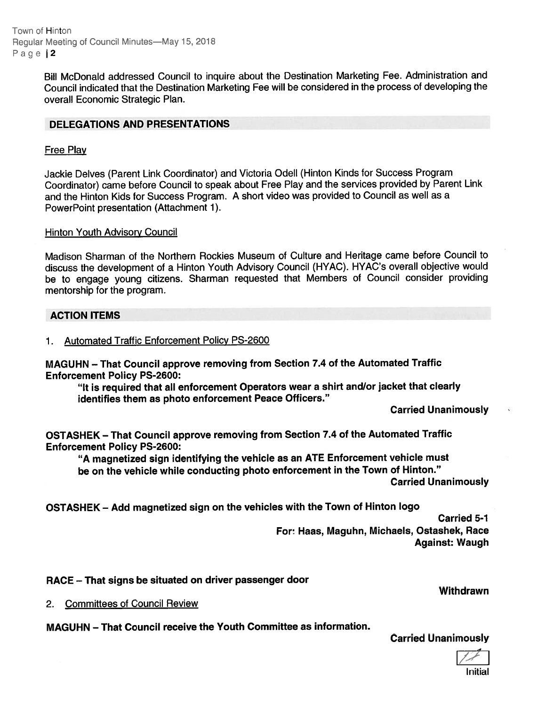Town of Hinton Regular Meeting of Council Minutes—May 15, 2018 Page | 2

> Bill McDonald addressed Council to inquire about the Destination Marketing Fee. Administration and Council indicated that the Destination Marketing Fee will be considered in the process of developing the overall Economic Strategic Plan.

### DELEGATIONS AND PRESENTATIONS

### Free Play

Jackie Delves (Parent Link Coordinator) and Victoria Odell (Hinton Kinds for Success Program Coordinator) came before Council to spea<sup>k</sup> about Free Play and the services provided by Parent Link and the Hinton Kids for Success Program. <sup>A</sup> short video was provided to Council as well as <sup>a</sup> PowerPoint presentation (Attachment 1).

#### Hinton Youth Advisory Council

Madison Sharman of the Northern Rockies Museum of Culture and Heritage came before Council to discuss the development of <sup>a</sup> Hinton Youth Advisory Council (HYAC). HYAC's overall objective would be to engage young citizens. Sharman requested that Members of Council consider providing mentorship for the program.

### ACTION ITEMS

1. Automated Traffic Enforcement Policy PS-2600

MAGUHN — That Council approve removing from Section 7.4 of the Automated Traffic Enforcement Policy PS-2600:

"It is required that all enforcement Operators wear <sup>a</sup> shirt and/or jacket that clearly identifies them as photo enforcement Peace Officers."

Carried Unanimously

OSTASHEK — That Council approve removing from Section 7.4 of the Automated Traffic Enforcement Policy PS-2600:

"A magnetized sign identifying the vehicle as an ATE Enforcement vehicle must be on the vehicle while conducting <sup>p</sup>hoto enforcement in the Town of Hinton."

Carried Unanimously

OSTASHEK — Add magnetized sign on the vehicles with the Town of Hinton logo

Carried 5-1 For: Haas, Maguhn, Michaels, Ostashek, Race Against: Waugh

RACE — That signs be situated on driver passenger door

2. Committees of Council Review

MAGUHN — That Council receive the Youth Committee as information.

Carried Unanimously



**Withdrawn**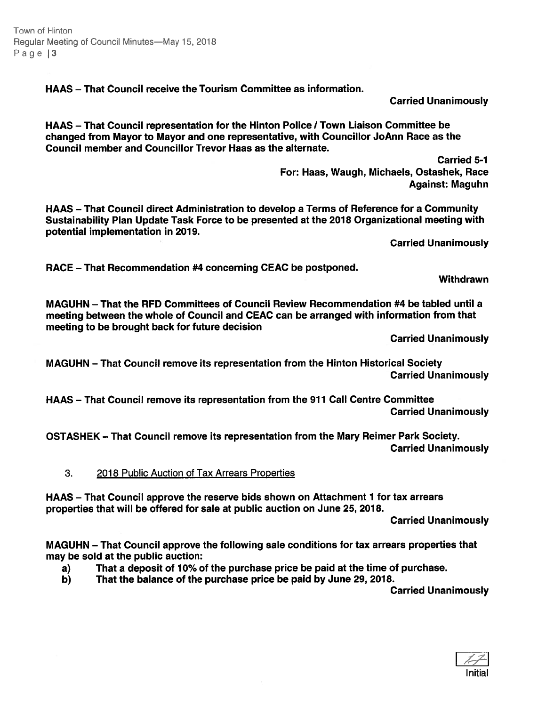Town of Hinton Regular Meeting of Council Minutes—May 15, 2018 Page | 3

HAAS — That Council receive the Tourism Committee as information.

Carried Unanimously

HAAS - That Council representation for the Hinton Police / Town Liaison Committee be changed from Mayor to Mayor and one representative, with Councillor JoAnn Race as the Council member and Councillor Trevor Haas as the alternate.

> Carried 5-1 For: Haas, Waugh, Michaels, Ostashek, Race Against: Maguhn

HAAS — That Council direct Administration to develop <sup>a</sup> Terms of Reference for <sup>a</sup> Community Sustainability Plan Update Task Force to be presented at the 2018 Organizational meeting with potential implementation in 2019.

Carried Unanimously

RACE — That Recommendation #4 concerning CEAC be postponed.

**Withdrawn** 

MAGUHN — That the RFD Committees of Council Review Recommendation #4 be tabled until <sup>a</sup> meeting between the whole of Council and CEAC can be arranged with information from that meeting to be brought back for future decision

Carried Unanimously

MAGUHN — That Council remove its representation from the Hinton Historical Society Carried Unanimously

HAAS — That Council remove its representation from the 911 Call Centre Committee Carried Unanimously

OSTASHEK — That Council remove its representation from the Mary Reimer Park Society. Carried Unanimously

3. 2018 Public Auction of Tax Arrears Properties

HAAS — That Council approve the reserve bids shown on Attachment 1 for tax arrears properties that will be offered for sale at public auction on June 25, 2018.

Carried Unanimously

MAGUHN — That Council approve the following sale conditions for tax arrears properties that may be sold at the public auction:

- a) That <sup>a</sup> deposit of 10% of the purchase price be paid at the time of purchase.
- b) That the balance of the purchase price be paid by June 29, 2018.

Carried Unanimously

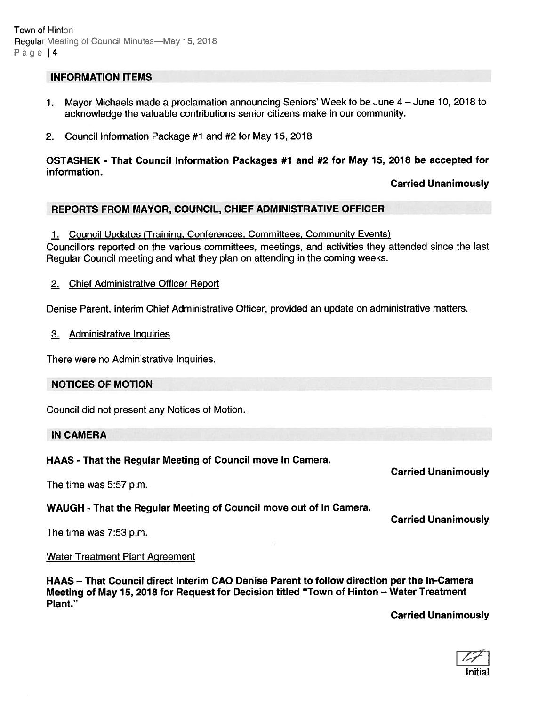### INFORMATION ITEMS

- 1. Mayor Michaels made <sup>a</sup> proclamation announcing Seniors' Week to be June 4 June 10, 2018 to acknowledge the valuable contributions senior citizens make in our community.
- 2. Council Information Package #1 and #2 for May 15, 2018

### OSTASHEK - That Council Information Packages #1 and #2 for May 15, 2018 be accepted for information.

### Carried Unanimously

### REPORTS FROM MAYOR, COUNCIL, CHIEF ADMINISTRATIVE OFFICER

1. Council Updates (Training, Conferences, Committees, Community Events)

Councillors reported on the various committees, meetings, and activities they attended since the last Regular Council meeting and what they plan on attending in the coming weeks.

2. Chief Administrative Officer Report

Denise Parent, Interim Chief Administrative Officer, provided an update on administrative matters.

3. Administrative Inquiries

There were no Administrative Inquiries.

#### NOTICES OF MOTION

Council did not presen<sup>t</sup> any Notices of Motion.

#### IN CAMERA

HAAS - That the Regular Meeting of Council move In Camera.

The time was 5:57 p.m.

# WAUGH - That the Regular Meeting of Council move out of In Camera.

Carried Unanimously

Carried Unanimously

The time was 7:53 p.m.

#### Water Treatment Plant Agreement

HAAS — That Council direct Interim CAO Denise Parent to follow direction per the In-Camera Meeting of May 15, 2018 for Request for Decision titled "Town of Hinton — Water Treatment Plant."

Carried Unanimously

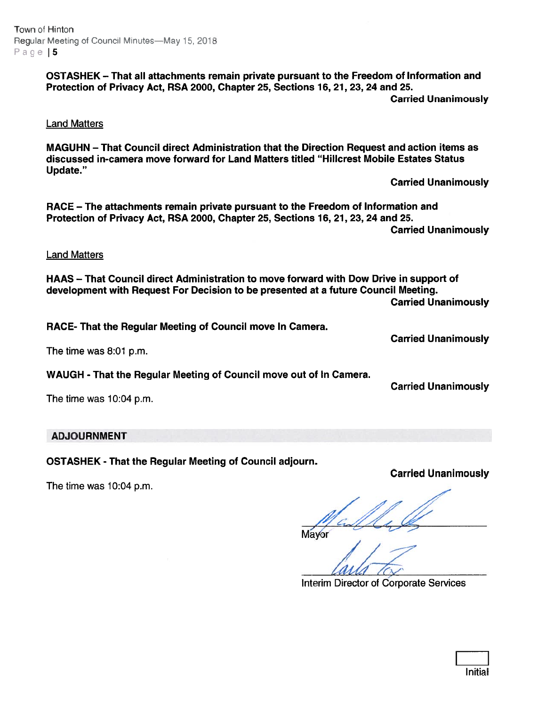Town of Hinton Regular Meeting of Council Minutes—May 15, 2018 Page  $5$ 

> OSTASHEK — That all attachments remain private pursuan<sup>t</sup> to the Freedom of Information and Protection of Privacy Act, RSA 2000, Chapter 25, Sections 16, 21, 23, 24 and 25. Carried Unanimously

Land Matters

MAGUHN — That Council direct Administration that the Direction Request and action items as discussed in-camera move forward for Land Matters titled "Hillcrest Mobile Estates Status Update."

Carried Unanimously

RACE — The attachments remain private pursuan<sup>t</sup> to the Freedom of Information and Protection of Privacy Act, RSA 2000, Chapter 25, Sections 16, 21, 23, 24 and 25. Carried Unanimously

Land Matters

HAAS — That Council direct Administration to move forward with Dow Drive in suppor<sup>t</sup> of development with Request For Decision to be presented at <sup>a</sup> future Council Meeting. Carried Unanimously

RACE- That the Regular Meeting of Council move In Camera.

The time was 8:01 p.m.

WAUGH - That the Regular Meeting of Council move out of In Camera.

Carried Unanimously

Carried Unanimously

The time was 10:04 p.m.

# ADJOURNMENT

OSTASHEK - That the Regular Meeting of Council adjourn.

The time was 10:04 p.m.

# Carried Unanimously

Mayor

Interim Director of Corporate Services